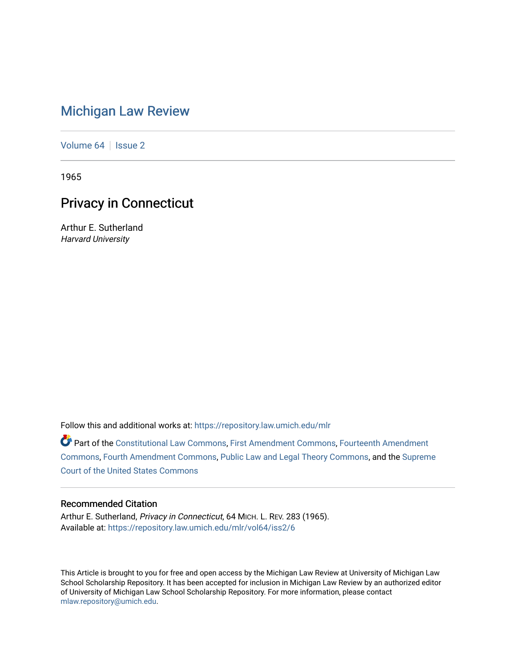# [Michigan Law Review](https://repository.law.umich.edu/mlr)

[Volume 64](https://repository.law.umich.edu/mlr/vol64) | [Issue 2](https://repository.law.umich.edu/mlr/vol64/iss2)

1965

# Privacy in Connecticut

Arthur E. Sutherland Harvard University

Follow this and additional works at: [https://repository.law.umich.edu/mlr](https://repository.law.umich.edu/mlr?utm_source=repository.law.umich.edu%2Fmlr%2Fvol64%2Fiss2%2F6&utm_medium=PDF&utm_campaign=PDFCoverPages) 

Part of the [Constitutional Law Commons,](http://network.bepress.com/hgg/discipline/589?utm_source=repository.law.umich.edu%2Fmlr%2Fvol64%2Fiss2%2F6&utm_medium=PDF&utm_campaign=PDFCoverPages) [First Amendment Commons,](http://network.bepress.com/hgg/discipline/1115?utm_source=repository.law.umich.edu%2Fmlr%2Fvol64%2Fiss2%2F6&utm_medium=PDF&utm_campaign=PDFCoverPages) [Fourteenth Amendment](http://network.bepress.com/hgg/discipline/1116?utm_source=repository.law.umich.edu%2Fmlr%2Fvol64%2Fiss2%2F6&utm_medium=PDF&utm_campaign=PDFCoverPages)  [Commons](http://network.bepress.com/hgg/discipline/1116?utm_source=repository.law.umich.edu%2Fmlr%2Fvol64%2Fiss2%2F6&utm_medium=PDF&utm_campaign=PDFCoverPages), [Fourth Amendment Commons](http://network.bepress.com/hgg/discipline/1180?utm_source=repository.law.umich.edu%2Fmlr%2Fvol64%2Fiss2%2F6&utm_medium=PDF&utm_campaign=PDFCoverPages), [Public Law and Legal Theory Commons](http://network.bepress.com/hgg/discipline/871?utm_source=repository.law.umich.edu%2Fmlr%2Fvol64%2Fiss2%2F6&utm_medium=PDF&utm_campaign=PDFCoverPages), and the [Supreme](http://network.bepress.com/hgg/discipline/1350?utm_source=repository.law.umich.edu%2Fmlr%2Fvol64%2Fiss2%2F6&utm_medium=PDF&utm_campaign=PDFCoverPages) [Court of the United States Commons](http://network.bepress.com/hgg/discipline/1350?utm_source=repository.law.umich.edu%2Fmlr%2Fvol64%2Fiss2%2F6&utm_medium=PDF&utm_campaign=PDFCoverPages)

### Recommended Citation

Arthur E. Sutherland, Privacy in Connecticut, 64 MICH. L. REV. 283 (1965). Available at: [https://repository.law.umich.edu/mlr/vol64/iss2/6](https://repository.law.umich.edu/mlr/vol64/iss2/6?utm_source=repository.law.umich.edu%2Fmlr%2Fvol64%2Fiss2%2F6&utm_medium=PDF&utm_campaign=PDFCoverPages)

This Article is brought to you for free and open access by the Michigan Law Review at University of Michigan Law School Scholarship Repository. It has been accepted for inclusion in Michigan Law Review by an authorized editor of University of Michigan Law School Scholarship Repository. For more information, please contact [mlaw.repository@umich.edu.](mailto:mlaw.repository@umich.edu)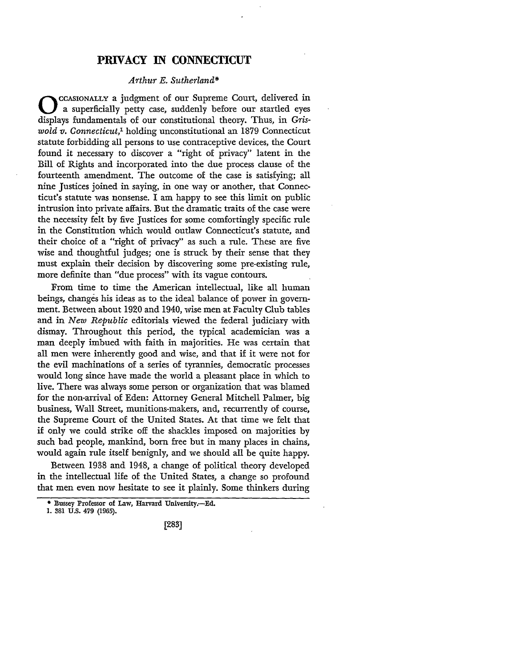### **PRIVACY IN CONNECTICUT**

#### *Arthur E. Sutherland\**

OCCASIONALLY a judgment of our Supreme Court, delivered in a superficially petty case, suddenly before our startled eyes displays fundamentals of our constitutional theory. Thus, in *Griswold v. Connecticut,1* holding unconstitutional an 1879 Connecticut statute forbidding all persons to use contraceptive devices, the Court found it necessary to discover a "right of privacy" latent in the Bill of Rights and incorporated into the due process clause of the fourteenth amendment. The outcome of the case is satisfying; all nine Justices joined in saying, in one way or another, that Connecticut's statute was nonsense. I am happy to see this limit on public intrusion into private affairs. But the dramatic traits of the case were the necessity felt by five Justices for some comfortingly specific rule in the Constitution which would outlaw Connecticut's statute, and their choice of a "right of privacy" as such a rule. These are five wise and thoughtful judges; one is struck by their sense that they must explain their decision by discovering some pre-existing rule, more definite than "due process" with its vague contours.

From time to time the American intellectual, like all human beings, changes his ideas as to the ideal balance of power in government. Between about 1920 and 1940, wise men at Faculty Club tables and in *New Republic* editorials viewed the federal judiciary with dismay. Throughout this period, the typical academician was a man deeply imbued with faith in majorities. He was certain that all men were inherently good and wise, and that if it were not for the evil machinations of a series of tyrannies, democratic processes would long since have made the world a pleasant place in which to live. There was always some person or organization that was blamed for the non-arrival of Eden: Attorney General Mitchell Palmer, big business, Wall Street, munitions-makers, and, recurrently of course, the Supreme Court of the United States. At that time we felt that if only we could strike off the shackles imposed on majorities by such bad people, mankind, born free but in many places in chains, would again rule itself benignly, and we should all be quite happy.

Between 1938 and 1948, a change of political theory developed in the intellectual life of the United States, a change so profound that men even now hesitate to see it plainly. Some thinkers during

1. 381 U.S. 479 (1965).

[283]

Bussey Professor of Law, Harvard University.--Ed.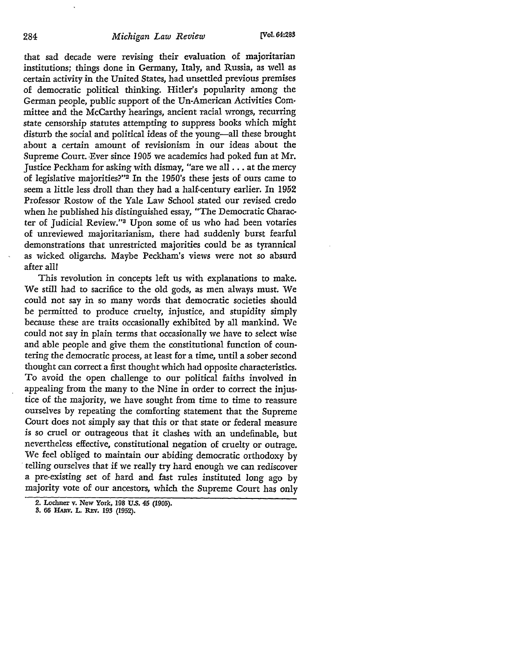that sad decade were revising their evaluation of majoritarian institutions; things done in Germany, Italy, and Russia, as well as certain activity in the United States, had unsettled previous premises of democratic political thinking. Hitler's popularity among the German people, public support of the Un-American Activities Committee and the McCarthy hearings, ancient racial wrongs, recurring state censorship statutes attempting to suppress books which might disturb the social and political ideas of the young-all these brought about a certain amount of revisionism in our ideas about the Supreme Court. Ever since 1905 we academics had poked fun at Mr. Justice Peckham for asking with dismay, "are we all ... at the mercy of legislative majorities?"2 In the 1950's these jests of ours came to seem a little less droll than they had a half-century earlier. In 1952 Professor Rostow of the Yale Law School stated our revised credo when he published his distinguished essay, "The Democratic Character of Judicial Review."3 Upon some of us who had been votaries of unreviewed majoritarianism, there had suddenly burst fearful demonstrations that unrestricted majorities could be as tyrannical as wicked oligarchs. Maybe Peckham's views were not so absurd after alll

This revolution in concepts left us with explanations to make. We still had to sacrifice to the old gods, as men always must. We could not say in *so* many words that democratic societies should be permitted to produce cruelty, injustice, and stupidity simply because these are traits occasionally exhibited by all mankind. We could not say in plain terms that occasionally we have to select wise and able people and give them the constitutional function of countering the democratic *process,* at least for a *time,* until a sober second thought can correct a first thought which had opposite characteristics. To avoid the open challenge to our political faiths involved in appealing from the many to the Nine in order to correct the injustice of the majority, we have sought from time to time to reassure ourselves by repeating the comforting statement that the Supreme Court does not simply say that this or that state or federal measure is so cruel or outrageous that it clashes with an undefinable, but nevertheless effective, constitutional negation of cruelty or outrage. We feel obliged to maintain our abiding democratic orthodoxy by · telling ourselves that if we really try hard enough we can rediscover a pre-existing set of hard and fast rules instituted long ago by majority vote of our ancestors, which the Supreme Court has only

3. 66 IIARv. L. REv. 193 (1952),

<sup>2.</sup> Lochner v. New York, 198 U.S. 45 (1905).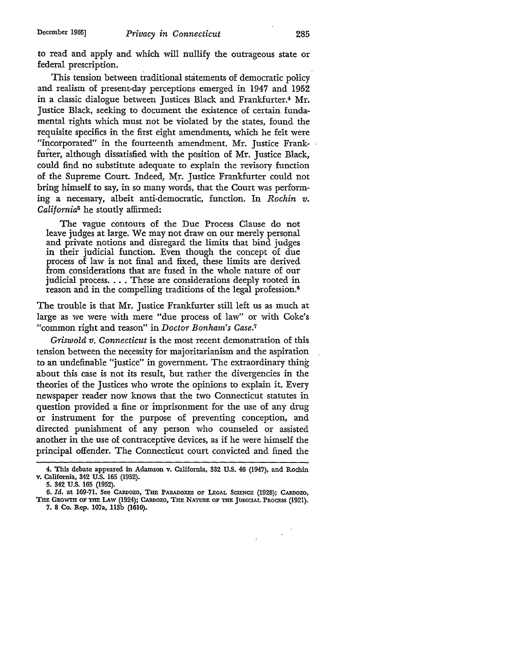$\bar{ }$ 

to read and apply and which will nullify the outrageous state or federal prescription.

This tension between traditional statements of democratic policy and realism of present-day perceptions emerged in 1947 and 1952 in a classic dialogue between Justices Black and Frankfurter.4 Mr. Justice Black, seeking to document the existence of certain fundamental rights which must not be violated by the states, found the requisite specifics in the first eight amendments, which he felt were "incorporated" in the fourteenth amendment. Mr. Justice Frankfurter, although dissatisfied with the position of Mr. Justice Black, could find no substitute adequate to explain the revisory function of the Supreme Court. Indeed, Mr. Justice Frankfurter could not bring himself to say, in so many words, that the Court was performing a necessary, albeit anti-democratic, function. In *Rochin v. California5* he stoutly affirmed:

The vague contours of the Due Process Clause do not leave judges at large. We may not draw on our merely personal and private notions and disregard the limits that bind judges in their judicial function. Even though the concept of due process of law is not final and fixed, these limits are derived from considerations that are fused in the whole nature of our judicial process. . .. These are considerations deeply rooted in reason and in the compelling traditions of the legal profession.<sup>6</sup>

The trouble is that Mr. Justice Frankfurter still left us as much at large as we were with mere "due process of law" or with Coke's "common right and reason" in *Doctor Bonham's Case.1* 

*Griswold v. Connecticut* is the most recent demonstration of this tension between the necessity for majoritarianism and the aspiration to an undefinable "justice" in government. The extraordinary thing about this case is not its result, but rather the divergencies in the theories of the Justices who wrote the opinions to explain it. Every newspaper reader now knows that the two Connecticut statutes in question provided a fine or imprisonment for the use of any drug or instrument for the purpose of preventing conception, and directed punishment of any person who counseled or assisted another in the use of contraceptive devices, as if he were himself the principal offender. The Connecticut court convicted and fined the

<sup>4.</sup> This debate appeared in Adamson v. California, 332 U.S. 46 (1947), and Rochin v. California, 342 U.S. 165 (1952).

<sup>5. 342</sup> U.S. 165 (1952).

<sup>6.</sup> Id. at 169-71. See CARDOZO, THE PARADOXES OF LEGAL SCIENCE (1928); CARDOZO, THE GROWTH OF THE LAW (1924); CARDOZO, THE NATURE OF THE JUDICIAL PROCESS (1921). 7. 8 Co. Rep. 107a, 113b (1610).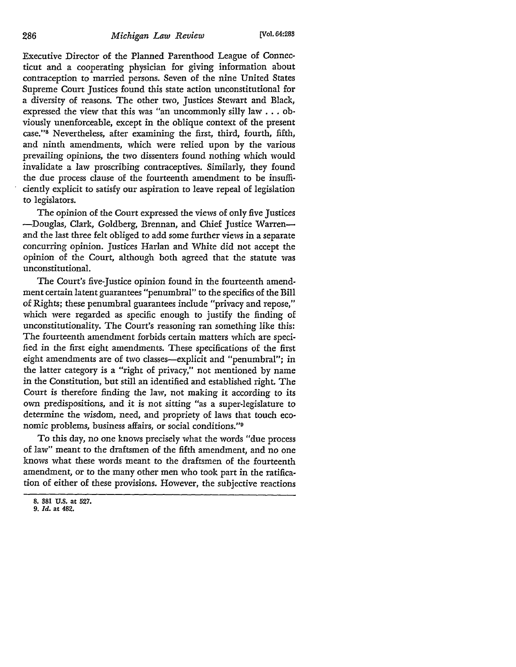Executive Director of the Planned Parenthood League of Connecticut and a cooperating physician for giving information about contraception *to* married persons. Seven of the nine United States Supreme Court Justices found this state action unconstitutional for a diversity of reasons. The other two, Justices Stewart and Black, expressed the view that this was "an uncommonly silly law ... obviously unenforceable, except in the oblique context of the present case."8 Nevertheless, after examining the first, third, fourth, fifth, and ninth amendments, which were relied upon by the various prevailing opinions, the *two* dissenters found nothing which would invalidate a law proscribing contraceptives. Similarly, they found the due process clause of the fourteenth amendment *to* be insufficiently explicit *to* satisfy our aspiration to leave repeal of legislation *to* legislators.

The opinion of the Court expressed the views of only five Justices -Douglas, Clark, Goldberg, Brennan, and Chief Justice Warrenand the last three felt obliged *to* add some further views in a separate concurring opinion. Justices Harlan and White did not accept the opinion of the Court, although both agreed that the statute was unconstitutional.

The Court's five-Justice opinion found in the fourteenth amendment certain latent guarantees "penumbral" to the specifics of the Bill of Rights; these penumbra! guarantees include "privacy and repose,'' which were regarded as specific enough to justify the finding of unconstitutionality. The Court's reasoning ran something like this: The fourteenth amendment forbids certain matters which are specified in the first eight amendments. These specifications of the first eight amendments are of two classes-explicit and "penumbra!"; in the latter category is a "right of privacy," not mentioned by name in the Constitution, but still an identified and established right. The Court is therefore finding the law, not making it according to its own predispositions, and it is not sitting "as a super-legislature *to*  determine the wisdom, need, and propriety of laws that touch economic problems, business affairs, or social conditions."<sup>0</sup>

To this day, no one knows precisely what the words "due process of law" meant to the draftsmen of the fifth amendment, and no one knows what these words meant to the draftsmen of the fourteenth amendment, or to the many other men who took part in the ratification of either of these provisions. However, the subjective reactions

<sup>8. 381</sup> U.S. at 527.

<sup>9.</sup> *Id.* at 482.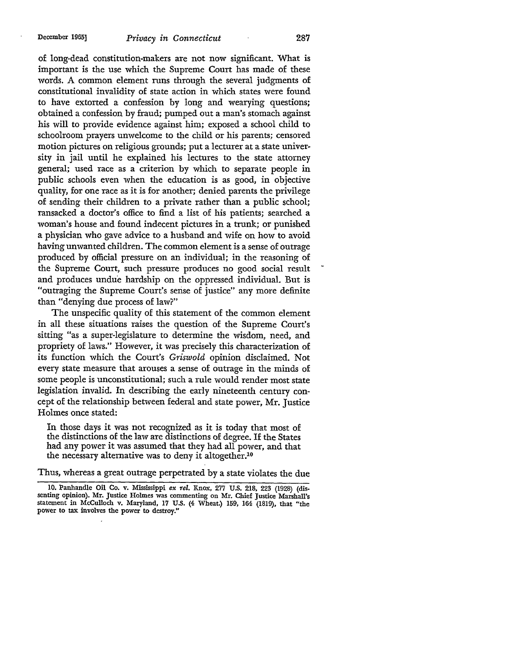of long-dead constitution-makers are not now significant. What is important is the use which the Supreme Court has made of these words. A common element runs through the several judgments of constitutional invalidity of state action in which states were found to have extorted a confession by long and wearying questions; obtained a confession by fraud; pumped out a man's stomach against his will to provide evidence against him; exposed a school child to schoolroom prayers unwelcome to the child or his parents; censored motion pictures on religious grounds; put a lecturer at a state university in jail until he explained his lectures to the state attorney general; used race as a criterion by which to separate people in public schools even when the education is as good, in objective quality, for one race as it is for another; denied parents the privilege of sending their children to a private rather than a public school; ransacked a doctor's office to find a list of his patients; searched a woman's house and found indecent pictures in a trunk; or punished a physician who gave advice to a husband and wife on how to avoid having unwanted children. The common element is a sense of outrage produced by official pressure on an individual; in the reasoning of the Supreme Court, such pressure produces no good social result and produces undue hardship on the oppressed individual. But is "outraging the Supreme Court's serise of justice" any more definite than "denying due process of law?"

The unspecific quality of this statement of the common element in all these situations raises the question of the Supreme Court's sitting "as a super-legislature to determine the wisdom, need, and propriety of laws." However, it was precisely this characterization of its function which the Court's *Griswold* opinion disclaimed. Not every state measure that arouses a sense of outrage in the minds of some people is unconstitutional; such a rule would render most state legislation invalid. In describing the early nineteenth century concept of the relationship between federal and state power, Mr. Justice Holmes once stated:

In those days it was not recognized as it is today that most of the distinctions of the law are distinctions of degree. If the States had any power it was assumed that they had all power, and that the necessary alternative was to deny it altogether.10

Thus, whereas a great outrage perpetrated by a state violates the due

<sup>10.</sup> Panhandle Oil Co. v. Mississippi *ex rel.* Knox, 277 U.S. 218, 223 (1928) (dissenting opinion). Mr. Justice Holmes was commenting on Mr. Chief Justice Marshall's statement in McCulloch v. Maryland, 17 U.S. (4 Wheat.) 159, 164 (1819), that "the power to tax involves the power to destroy."